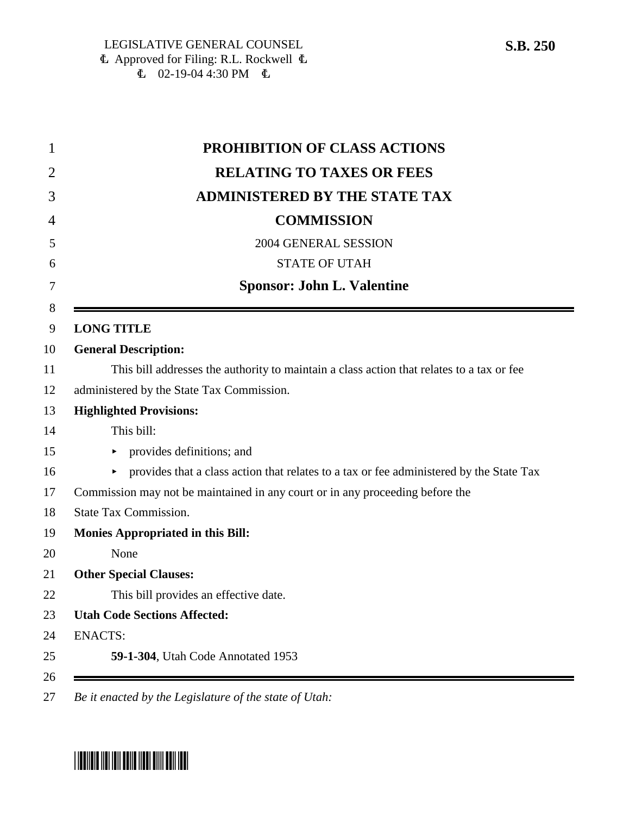| 1      | PROHIBITION OF CLASS ACTIONS                                                                 |
|--------|----------------------------------------------------------------------------------------------|
| 2      | <b>RELATING TO TAXES OR FEES</b>                                                             |
| 3      | <b>ADMINISTERED BY THE STATE TAX</b>                                                         |
| 4      | <b>COMMISSION</b>                                                                            |
| 5      | 2004 GENERAL SESSION                                                                         |
| 6      | <b>STATE OF UTAH</b>                                                                         |
| 7      | <b>Sponsor: John L. Valentine</b>                                                            |
| 8<br>9 | <b>LONG TITLE</b>                                                                            |
| 10     | <b>General Description:</b>                                                                  |
| 11     | This bill addresses the authority to maintain a class action that relates to a tax or fee    |
| 12     | administered by the State Tax Commission.                                                    |
| 13     | <b>Highlighted Provisions:</b>                                                               |
| 14     | This bill:                                                                                   |
| 15     | provides definitions; and                                                                    |
| 16     | provides that a class action that relates to a tax or fee administered by the State Tax<br>► |
| 17     | Commission may not be maintained in any court or in any proceeding before the                |
| 18     | <b>State Tax Commission.</b>                                                                 |
| 19     | <b>Monies Appropriated in this Bill:</b>                                                     |
| 20     | None                                                                                         |
| 21     | <b>Other Special Clauses:</b>                                                                |
| 22     | This bill provides an effective date.                                                        |
| 23     | <b>Utah Code Sections Affected:</b>                                                          |
| 24     | <b>ENACTS:</b>                                                                               |
| 25     | <b>59-1-304</b> , Utah Code Annotated 1953                                                   |
| 26     |                                                                                              |
|        |                                                                                              |



 $\equiv$ 

<sup>27</sup> *Be it enacted by the Legislature of the state of Utah:*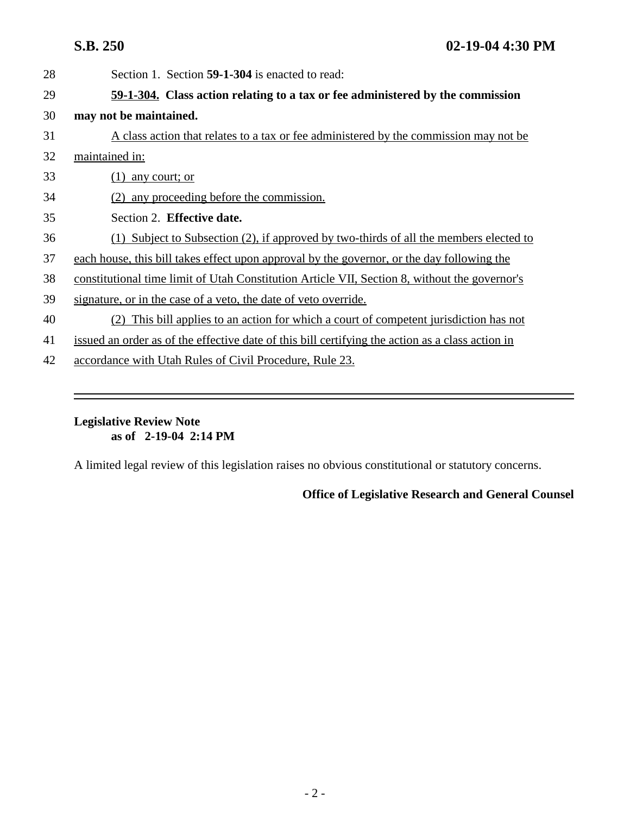| 28 | Section 1. Section 59-1-304 is enacted to read:                                                  |
|----|--------------------------------------------------------------------------------------------------|
| 29 | 59-1-304. Class action relating to a tax or fee administered by the commission                   |
| 30 | may not be maintained.                                                                           |
| 31 | A class action that relates to a tax or fee administered by the commission may not be            |
| 32 | maintained in:                                                                                   |
| 33 | (1)<br>any court; or                                                                             |
| 34 | (2) any proceeding before the commission.                                                        |
| 35 | Section 2. Effective date.                                                                       |
| 36 | (1) Subject to Subsection (2), if approved by two-thirds of all the members elected to           |
| 37 | each house, this bill takes effect upon approval by the governor, or the day following the       |
| 38 | constitutional time limit of Utah Constitution Article VII, Section 8, without the governor's    |
| 39 | signature, or in the case of a veto, the date of veto override.                                  |
| 40 | This bill applies to an action for which a court of competent jurisdiction has not<br>(2)        |
| 41 | issued an order as of the effective date of this bill certifying the action as a class action in |
| 42 | accordance with Utah Rules of Civil Procedure, Rule 23.                                          |

## **Legislative Review Note as of 2-19-04 2:14 PM**

A limited legal review of this legislation raises no obvious constitutional or statutory concerns.

## **Office of Legislative Research and General Counsel**